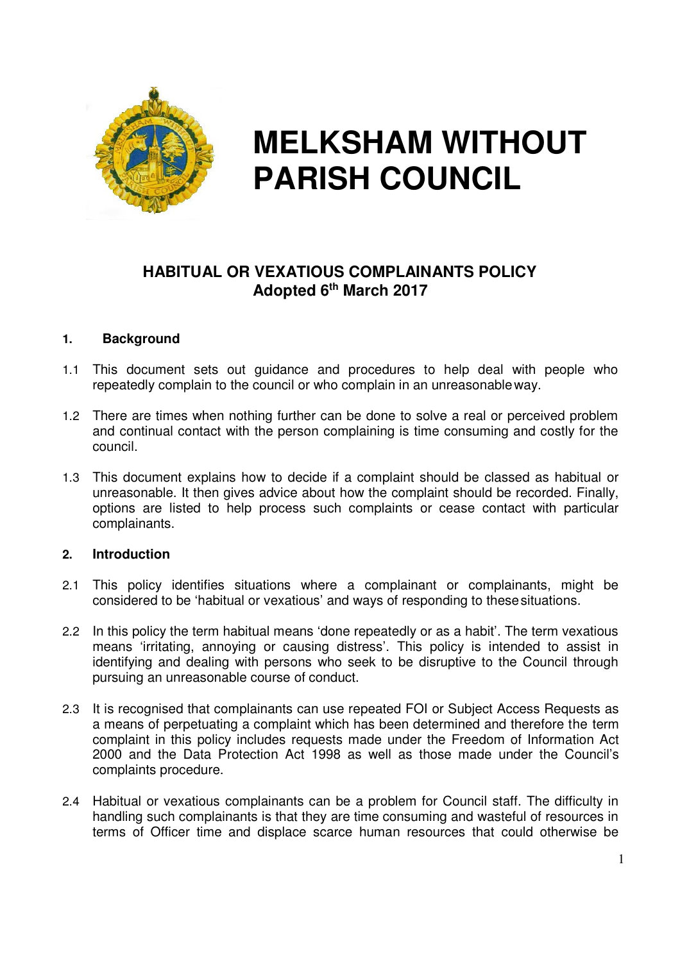

# **MELKSHAM WITHOUT PARISH COUNCIL**

# **HABITUAL OR VEXATIOUS COMPLAINANTS POLICY Adopted 6th March 2017**

#### **1. Background**

- 1.1 This document sets out guidance and procedures to help deal with people who repeatedly complain to the council or who complain in an unreasonable way.
- 1.2 There are times when nothing further can be done to solve a real or perceived problem and continual contact with the person complaining is time consuming and costly for the council.
- 1.3 This document explains how to decide if a complaint should be classed as habitual or unreasonable. It then gives advice about how the complaint should be recorded. Finally, options are listed to help process such complaints or cease contact with particular complainants.

#### **2. Introduction**

- 2.1 This policy identifies situations where a complainant or complainants, might be considered to be 'habitual or vexatious' and ways of responding to these situations.
- 2.2 In this policy the term habitual means 'done repeatedly or as a habit'. The term vexatious means 'irritating, annoying or causing distress'. This policy is intended to assist in identifying and dealing with persons who seek to be disruptive to the Council through pursuing an unreasonable course of conduct.
- 2.3 It is recognised that complainants can use repeated FOI or Subject Access Requests as a means of perpetuating a complaint which has been determined and therefore the term complaint in this policy includes requests made under the Freedom of Information Act 2000 and the Data Protection Act 1998 as well as those made under the Council's complaints procedure.
- 2.4 Habitual or vexatious complainants can be a problem for Council staff. The difficulty in handling such complainants is that they are time consuming and wasteful of resources in terms of Officer time and displace scarce human resources that could otherwise be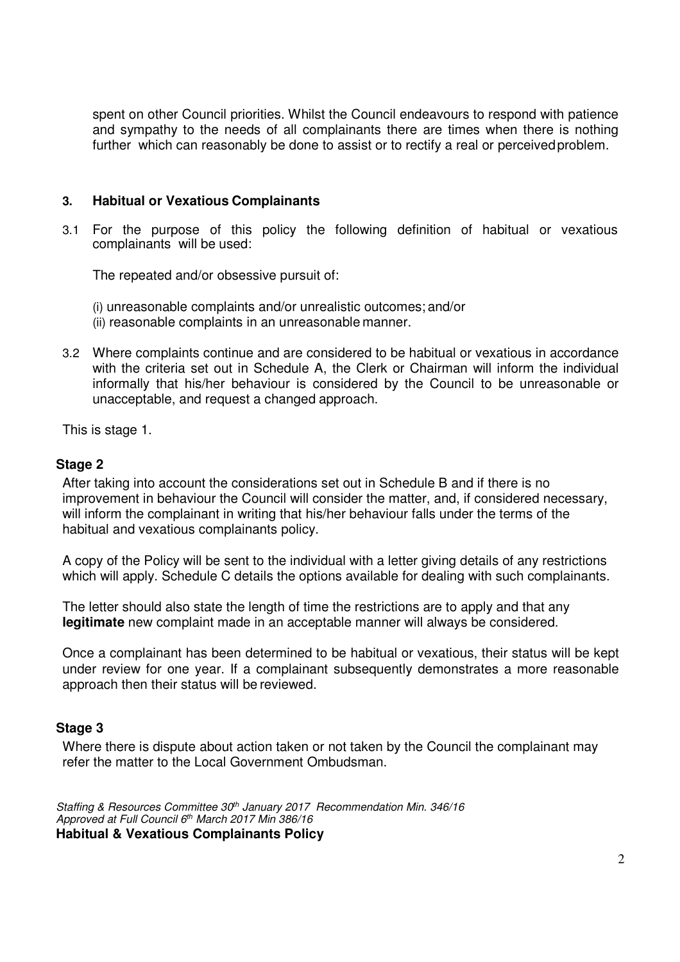spent on other Council priorities. Whilst the Council endeavours to respond with patience and sympathy to the needs of all complainants there are times when there is nothing further which can reasonably be done to assist or to rectify a real or perceived problem.

#### **3. Habitual or Vexatious Complainants**

3.1 For the purpose of this policy the following definition of habitual or vexatious complainants will be used:

The repeated and/or obsessive pursuit of:

- (i) unreasonable complaints and/or unrealistic outcomes; and/or
- (ii) reasonable complaints in an unreasonable manner.
- 3.2 Where complaints continue and are considered to be habitual or vexatious in accordance with the criteria set out in Schedule A, the Clerk or Chairman will inform the individual informally that his/her behaviour is considered by the Council to be unreasonable or unacceptable, and request a changed approach.

This is stage 1.

#### **Stage 2**

After taking into account the considerations set out in Schedule B and if there is no improvement in behaviour the Council will consider the matter, and, if considered necessary, will inform the complainant in writing that his/her behaviour falls under the terms of the habitual and vexatious complainants policy.

A copy of the Policy will be sent to the individual with a letter giving details of any restrictions which will apply. Schedule C details the options available for dealing with such complainants.

The letter should also state the length of time the restrictions are to apply and that any **legitimate** new complaint made in an acceptable manner will always be considered.

Once a complainant has been determined to be habitual or vexatious, their status will be kept under review for one year. If a complainant subsequently demonstrates a more reasonable approach then their status will be reviewed.

#### **Stage 3**

Where there is dispute about action taken or not taken by the Council the complainant may refer the matter to the Local Government Ombudsman.

Staffing & Resources Committee 30<sup>th</sup> January 2017 Recommendation Min. 346/16 Approved at Full Council 6<sup>th</sup> March 2017 Min 386/16 **Habitual & Vexatious Complainants Policy**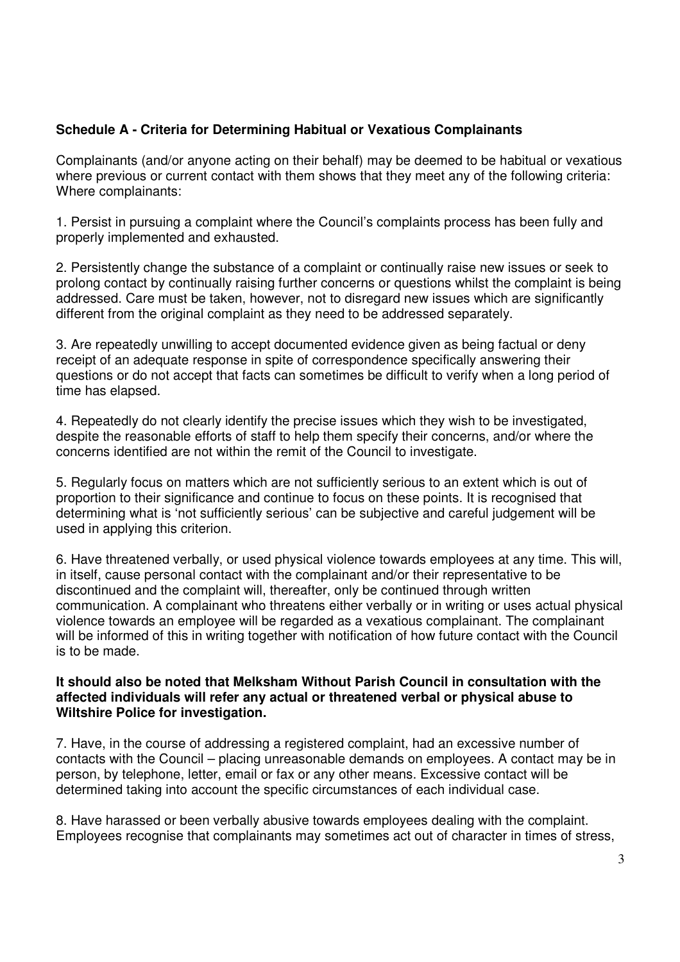# **Schedule A - Criteria for Determining Habitual or Vexatious Complainants**

Complainants (and/or anyone acting on their behalf) may be deemed to be habitual or vexatious where previous or current contact with them shows that they meet any of the following criteria: Where complainants:

1. Persist in pursuing a complaint where the Council's complaints process has been fully and properly implemented and exhausted.

2. Persistently change the substance of a complaint or continually raise new issues or seek to prolong contact by continually raising further concerns or questions whilst the complaint is being addressed. Care must be taken, however, not to disregard new issues which are significantly different from the original complaint as they need to be addressed separately.

3. Are repeatedly unwilling to accept documented evidence given as being factual or deny receipt of an adequate response in spite of correspondence specifically answering their questions or do not accept that facts can sometimes be difficult to verify when a long period of time has elapsed.

4. Repeatedly do not clearly identify the precise issues which they wish to be investigated, despite the reasonable efforts of staff to help them specify their concerns, and/or where the concerns identified are not within the remit of the Council to investigate.

5. Regularly focus on matters which are not sufficiently serious to an extent which is out of proportion to their significance and continue to focus on these points. It is recognised that determining what is 'not sufficiently serious' can be subjective and careful judgement will be used in applying this criterion.

6. Have threatened verbally, or used physical violence towards employees at any time. This will, in itself, cause personal contact with the complainant and/or their representative to be discontinued and the complaint will, thereafter, only be continued through written communication. A complainant who threatens either verbally or in writing or uses actual physical violence towards an employee will be regarded as a vexatious complainant. The complainant will be informed of this in writing together with notification of how future contact with the Council is to be made.

#### **It should also be noted that Melksham Without Parish Council in consultation with the affected individuals will refer any actual or threatened verbal or physical abuse to Wiltshire Police for investigation.**

7. Have, in the course of addressing a registered complaint, had an excessive number of contacts with the Council – placing unreasonable demands on employees. A contact may be in person, by telephone, letter, email or fax or any other means. Excessive contact will be determined taking into account the specific circumstances of each individual case.

8. Have harassed or been verbally abusive towards employees dealing with the complaint. Employees recognise that complainants may sometimes act out of character in times of stress,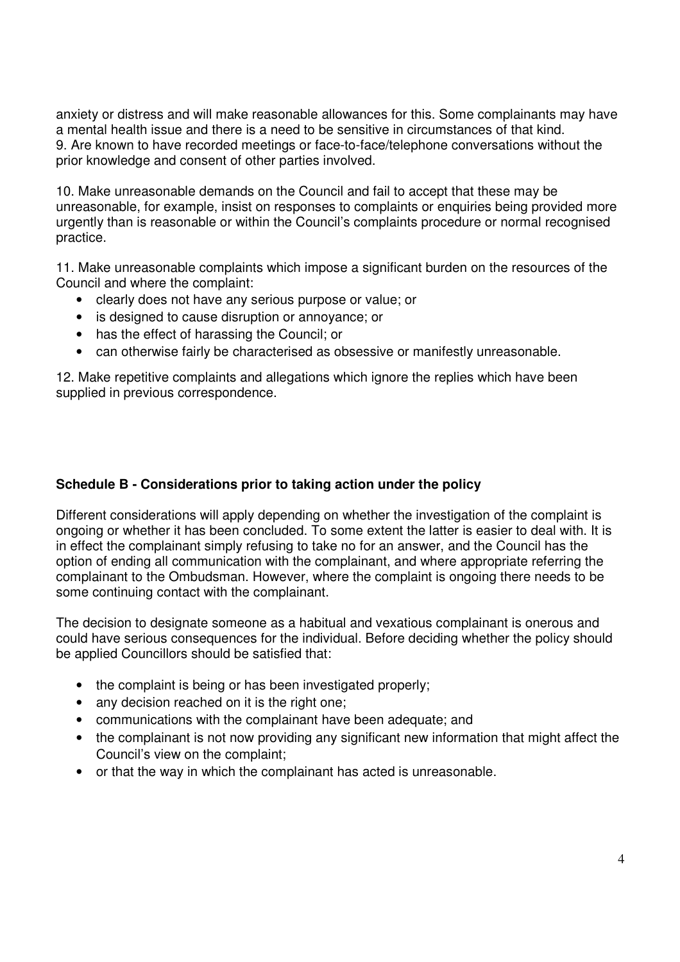anxiety or distress and will make reasonable allowances for this. Some complainants may have a mental health issue and there is a need to be sensitive in circumstances of that kind. 9. Are known to have recorded meetings or face-to-face/telephone conversations without the prior knowledge and consent of other parties involved.

10. Make unreasonable demands on the Council and fail to accept that these may be unreasonable, for example, insist on responses to complaints or enquiries being provided more urgently than is reasonable or within the Council's complaints procedure or normal recognised practice.

11. Make unreasonable complaints which impose a significant burden on the resources of the Council and where the complaint:

- clearly does not have any serious purpose or value; or
- is designed to cause disruption or annoyance; or
- has the effect of harassing the Council; or
- can otherwise fairly be characterised as obsessive or manifestly unreasonable.

12. Make repetitive complaints and allegations which ignore the replies which have been supplied in previous correspondence.

# **Schedule B - Considerations prior to taking action under the policy**

Different considerations will apply depending on whether the investigation of the complaint is ongoing or whether it has been concluded. To some extent the latter is easier to deal with. It is in effect the complainant simply refusing to take no for an answer, and the Council has the option of ending all communication with the complainant, and where appropriate referring the complainant to the Ombudsman. However, where the complaint is ongoing there needs to be some continuing contact with the complainant.

The decision to designate someone as a habitual and vexatious complainant is onerous and could have serious consequences for the individual. Before deciding whether the policy should be applied Councillors should be satisfied that:

- the complaint is being or has been investigated properly;
- any decision reached on it is the right one;
- communications with the complainant have been adequate; and
- the complainant is not now providing any significant new information that might affect the Council's view on the complaint;
- or that the way in which the complainant has acted is unreasonable.